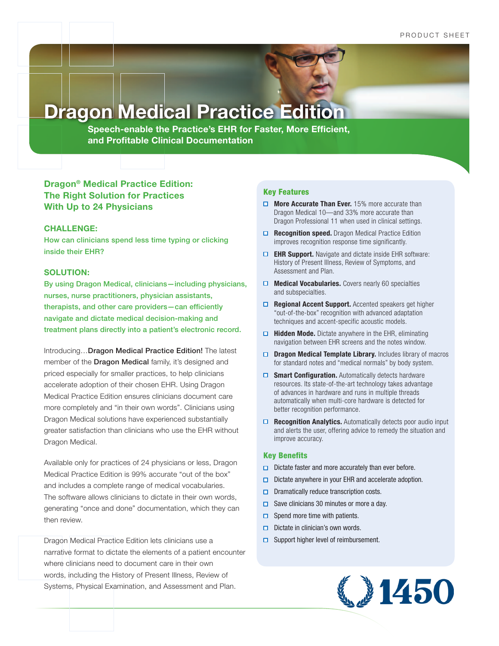**Dragon Medical Practice Edition**

**Speech-enable the Practice's EHR for Faster, More Efficient, and Profitable Clinical Documentation**

# **Dragon® Medical Practice Edition: The Right Solution for Practices With Up to 24 Physicians**

### **CHALLENGE:**

How can clinicians spend less time typing or clicking inside their EHR?

### **SOLUTION:**

By using Dragon Medical, clinicians—including physicians, nurses, nurse practitioners, physician assistants, therapists, and other care providers—can efficiently navigate and dictate medical decision-making and treatment plans directly into a patient's electronic record.

Introducing…Dragon Medical Practice Edition! The latest member of the **Dragon Medical** family, it's designed and priced especially for smaller practices, to help clinicians accelerate adoption of their chosen EHR. Using Dragon Medical Practice Edition ensures clinicians document care more completely and "in their own words". Clinicians using Dragon Medical solutions have experienced substantially greater satisfaction than clinicians who use the EHR without Dragon Medical.

Available only for practices of 24 physicians or less, Dragon Medical Practice Edition is 99% accurate "out of the box" and includes a complete range of medical vocabularies. The software allows clinicians to dictate in their own words, generating "once and done" documentation, which they can then review.

Dragon Medical Practice Edition lets clinicians use a narrative format to dictate the elements of a patient encounter where clinicians need to document care in their own words, including the History of Present Illness, Review of Systems, Physical Examination, and Assessment and Plan.

### Key Features

- **More Accurate Than Ever.** 15% more accurate than Dragon Medical 10—and 33% more accurate than Dragon Professional 11 when used in clinical settings.
- □ Recognition speed. Dragon Medical Practice Edition improves recognition response time significantly.
- **EHR Support.** Navigate and dictate inside EHR software: History of Present Illness, Review of Symptoms, and Assessment and Plan.
- **Medical Vocabularies.** Covers nearly 60 specialties and subspecialties.
- **Regional Accent Support.** Accented speakers get higher "out-of-the-box" recognition with advanced adaptation techniques and accent-specific acoustic models.
- □ Hidden Mode. Dictate anywhere in the EHR, eliminating navigation between EHR screens and the notes window.
- **Dragon Medical Template Library.** Includes library of macros for standard notes and "medical normals" by body system.
- **Smart Configuration.** Automatically detects hardware resources. Its state-of-the-art technology takes advantage of advances in hardware and runs in multiple threads automatically when multi-core hardware is detected for better recognition performance.
- **□ Recognition Analytics.** Automatically detects poor audio input and alerts the user, offering advice to remedy the situation and improve accuracy.

### Key Benefits

- $\Box$  Dictate faster and more accurately than ever before.
- $\Box$  Dictate anywhere in your EHR and accelerate adoption.
- $\Box$  Dramatically reduce transcription costs.
- $\Box$  Save clinicians 30 minutes or more a day.
- $\Box$  Spend more time with patients.
- $\Box$  Dictate in clinician's own words.
- $\Box$  Support higher level of reimbursement.

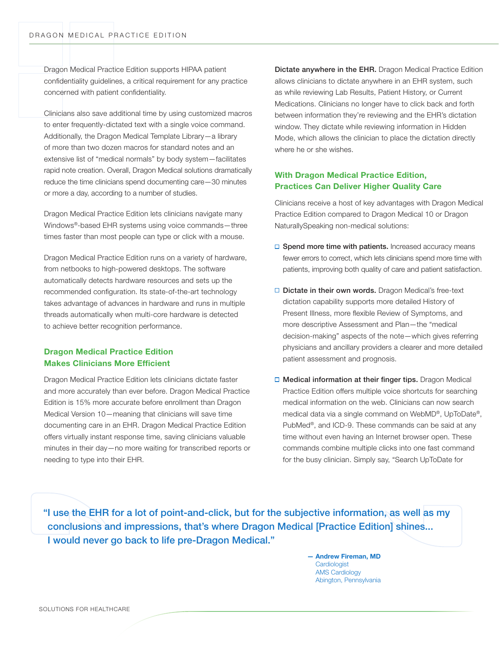Dragon Medical Practice Edition supports HIPAA patient confidentiality guidelines, a critical requirement for any practice concerned with patient confidentiality.

Clinicians also save additional time by using customized macros to enter frequently-dictated text with a single voice command. Additionally, the Dragon Medical Template Library—a library of more than two dozen macros for standard notes and an extensive list of "medical normals" by body system—facilitates rapid note creation. Overall, Dragon Medical solutions dramatically reduce the time clinicians spend documenting care—30 minutes or more a day, according to a number of studies.

Dragon Medical Practice Edition lets clinicians navigate many Windows®-based EHR systems using voice commands—three times faster than most people can type or click with a mouse.

Dragon Medical Practice Edition runs on a variety of hardware, from netbooks to high-powered desktops. The software automatically detects hardware resources and sets up the recommended configuration. Its state-of-the-art technology takes advantage of advances in hardware and runs in multiple threads automatically when multi-core hardware is detected to achieve better recognition performance.

## **Dragon Medical Practice Edition Makes Clinicians More Efficient**

Dragon Medical Practice Edition lets clinicians dictate faster and more accurately than ever before. Dragon Medical Practice Edition is 15% more accurate before enrollment than Dragon Medical Version 10—meaning that clinicians will save time documenting care in an EHR. Dragon Medical Practice Edition offers virtually instant response time, saving clinicians valuable minutes in their day—no more waiting for transcribed reports or needing to type into their EHR.

Dictate anywhere in the EHR. Dragon Medical Practice Edition allows clinicians to dictate anywhere in an EHR system, such as while reviewing Lab Results, Patient History, or Current Medications. Clinicians no longer have to click back and forth between information they're reviewing and the EHR's dictation window. They dictate while reviewing information in Hidden Mode, which allows the clinician to place the dictation directly where he or she wishes.

## **With Dragon Medical Practice Edition, Practices Can Deliver Higher Quality Care**

Clinicians receive a host of key advantages with Dragon Medical Practice Edition compared to Dragon Medical 10 or Dragon NaturallySpeaking non-medical solutions:

- $\Box$  Spend more time with patients. Increased accuracy means fewer errors to correct, which lets clinicians spend more time with patients, improving both quality of care and patient satisfaction.
- $\Box$  Dictate in their own words. Dragon Medical's free-text dictation capability supports more detailed History of Present Illness, more flexible Review of Symptoms, and more descriptive Assessment and Plan—the "medical decision-making" aspects of the note—which gives referring physicians and ancillary providers a clearer and more detailed patient assessment and prognosis.
- □ Medical information at their finger tips. Dragon Medical Practice Edition offers multiple voice shortcuts for searching medical information on the web. Clinicians can now search medical data via a single command on WebMD®, UpToDate®, PubMed®, and ICD-9. These commands can be said at any time without even having an Internet browser open. These commands combine multiple clicks into one fast command for the busy clinician. Simply say, "Search UpToDate for

"I use the EHR for a lot of point-and-click, but for the subjective information, as well as my conclusions and impressions, that's where Dragon Medical [Practice Edition] shines... I would never go back to life pre-Dragon Medical."

> **— Andrew Fireman, MD Cardiologist** AMS Cardiology Abington, Pennsylvania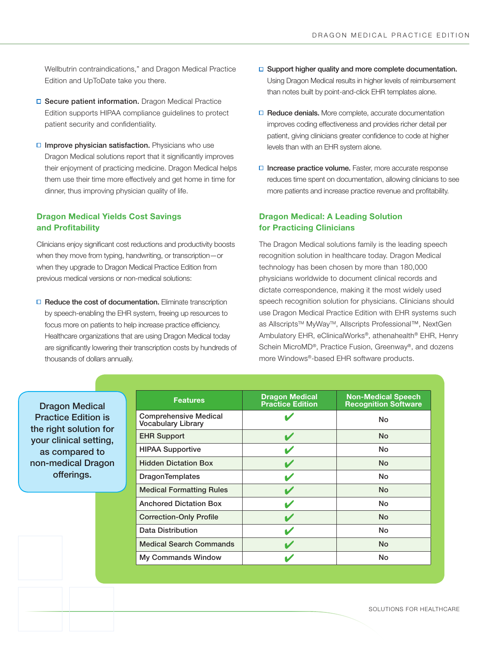Wellbutrin contraindications," and Dragon Medical Practice Edition and UpToDate take you there.

- □ Secure patient information. Dragon Medical Practice Edition supports HIPAA compliance guidelines to protect patient security and confidentiality.
- $\Box$  Improve physician satisfaction. Physicians who use Dragon Medical solutions report that it significantly improves their enjoyment of practicing medicine. Dragon Medical helps them use their time more effectively and get home in time for dinner, thus improving physician quality of life.

# **Dragon Medical Yields Cost Savings and Profitability**

Clinicians enjoy significant cost reductions and productivity boosts when they move from typing, handwriting, or transcription—or when they upgrade to Dragon Medical Practice Edition from previous medical versions or non-medical solutions:

 $\Box$  Reduce the cost of documentation. Eliminate transcription by speech-enabling the EHR system, freeing up resources to focus more on patients to help increase practice efficiency. Healthcare organizations that are using Dragon Medical today are significantly lowering their transcription costs by hundreds of thousands of dollars annually.

- $\Box$  Support higher quality and more complete documentation. Using Dragon Medical results in higher levels of reimbursement than notes built by point-and-click EHR templates alone.
- $\Box$  Reduce denials. More complete, accurate documentation improves coding effectiveness and provides richer detail per patient, giving clinicians greater confidence to code at higher levels than with an EHR system alone.
- $\Box$  Increase practice volume. Faster, more accurate response reduces time spent on documentation, allowing clinicians to see more patients and increase practice revenue and profitability.

## **Dragon Medical: A Leading Solution for Practicing Clinicians**

The Dragon Medical solutions family is the leading speech recognition solution in healthcare today. Dragon Medical technology has been chosen by more than 180,000 physicians worldwide to document clinical records and dictate correspondence, making it the most widely used speech recognition solution for physicians. Clinicians should use Dragon Medical Practice Edition with EHR systems such as Allscripts™ MyWay™, Allscripts Professional™, NextGen Ambulatory EHR, eClinicalWorks®, athenahealth® EHR, Henry Schein MicroMD®, Practice Fusion, Greenway®, and dozens more Windows®-based EHR software products.

Dragon Medical Practice Edition is the right solution for your clinical setting, as compared to non-medical Dragon offerings.

| <b>Features</b>                                           | <b>Dragon Medical</b><br><b>Practice Edition</b> | <b>Non-Medical Speech</b><br><b>Recognition Software</b> |
|-----------------------------------------------------------|--------------------------------------------------|----------------------------------------------------------|
| <b>Comprehensive Medical</b><br><b>Vocabulary Library</b> |                                                  | <b>No</b>                                                |
| <b>EHR Support</b>                                        |                                                  | <b>No</b>                                                |
| <b>HIPAA Supportive</b>                                   |                                                  | No                                                       |
| <b>Hidden Dictation Box</b>                               |                                                  | <b>No</b>                                                |
| <b>DragonTemplates</b>                                    |                                                  | No                                                       |
| <b>Medical Formatting Rules</b>                           |                                                  | <b>No</b>                                                |
| <b>Anchored Dictation Box</b>                             |                                                  | <b>No</b>                                                |
| <b>Correction-Only Profile</b>                            |                                                  | <b>No</b>                                                |
| Data Distribution                                         |                                                  | No                                                       |
| <b>Medical Search Commands</b>                            |                                                  | No                                                       |
| <b>My Commands Window</b>                                 |                                                  | No                                                       |